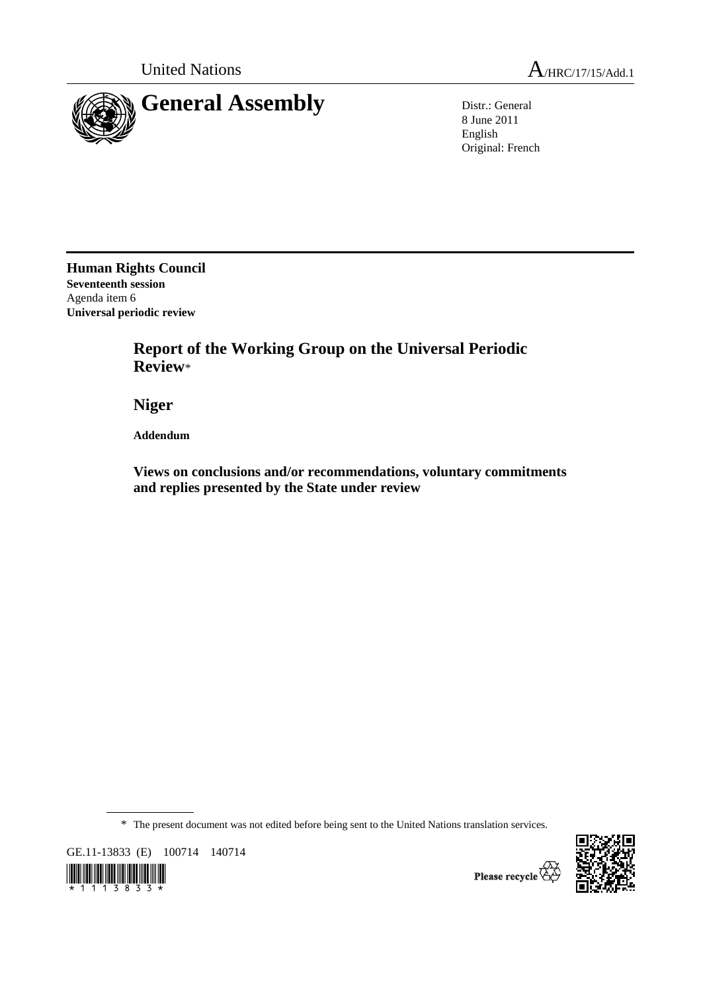



8 June 2011 English Original: French

**Human Rights Council Seventeenth session**  Agenda item 6 **Universal periodic review** 

> **Report of the Working Group on the Universal Periodic Review**\*

 **Niger** 

 **Addendum** 

 **Views on conclusions and/or recommendations, voluntary commitments and replies presented by the State under review** 

\* The present document was not edited before being sent to the United Nations translation services.

GE.11-13833 (E) 100714 140714





Please recycle  $\overleftrightarrow{\mathbf{C}}$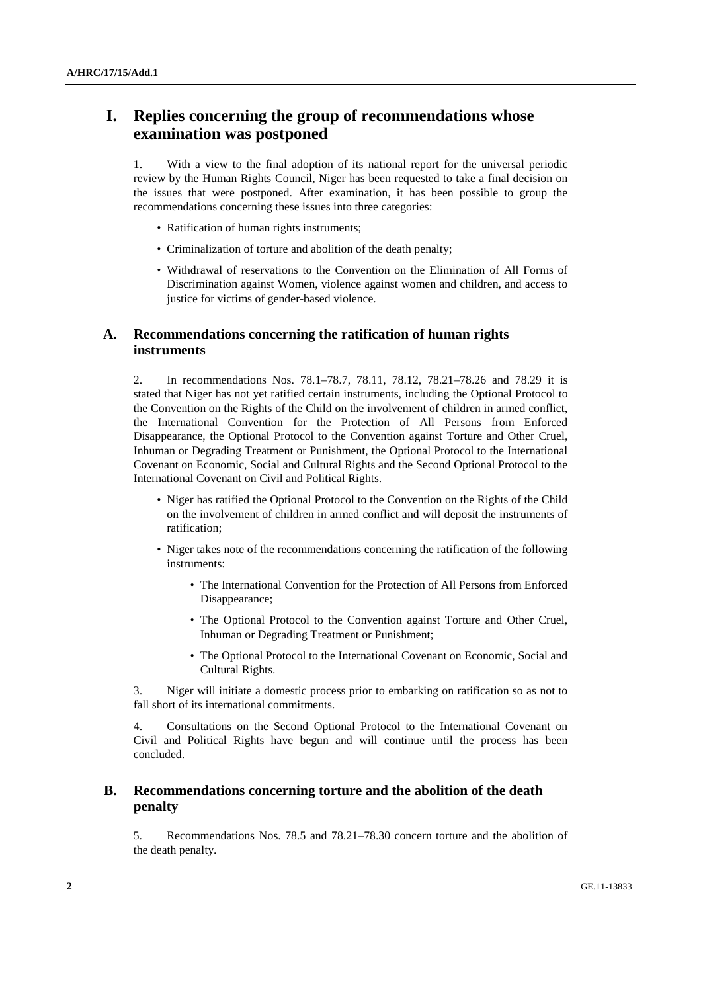# **I. Replies concerning the group of recommendations whose examination was postponed**

1. With a view to the final adoption of its national report for the universal periodic review by the Human Rights Council, Niger has been requested to take a final decision on the issues that were postponed. After examination, it has been possible to group the recommendations concerning these issues into three categories:

- Ratification of human rights instruments;
- Criminalization of torture and abolition of the death penalty;
- Withdrawal of reservations to the Convention on the Elimination of All Forms of Discrimination against Women, violence against women and children, and access to justice for victims of gender-based violence.

## **A. Recommendations concerning the ratification of human rights instruments**

2. In recommendations Nos. 78.1–78.7, 78.11, 78.12, 78.21–78.26 and 78.29 it is stated that Niger has not yet ratified certain instruments, including the Optional Protocol to the Convention on the Rights of the Child on the involvement of children in armed conflict, the International Convention for the Protection of All Persons from Enforced Disappearance, the Optional Protocol to the Convention against Torture and Other Cruel, Inhuman or Degrading Treatment or Punishment, the Optional Protocol to the International Covenant on Economic, Social and Cultural Rights and the Second Optional Protocol to the International Covenant on Civil and Political Rights.

- Niger has ratified the Optional Protocol to the Convention on the Rights of the Child on the involvement of children in armed conflict and will deposit the instruments of ratification;
- Niger takes note of the recommendations concerning the ratification of the following instruments:
	- The International Convention for the Protection of All Persons from Enforced Disappearance;
	- The Optional Protocol to the Convention against Torture and Other Cruel, Inhuman or Degrading Treatment or Punishment;
	- The Optional Protocol to the International Covenant on Economic, Social and Cultural Rights.

3. Niger will initiate a domestic process prior to embarking on ratification so as not to fall short of its international commitments.

4. Consultations on the Second Optional Protocol to the International Covenant on Civil and Political Rights have begun and will continue until the process has been concluded.

## **B. Recommendations concerning torture and the abolition of the death penalty**

5. Recommendations Nos. 78.5 and 78.21–78.30 concern torture and the abolition of the death penalty.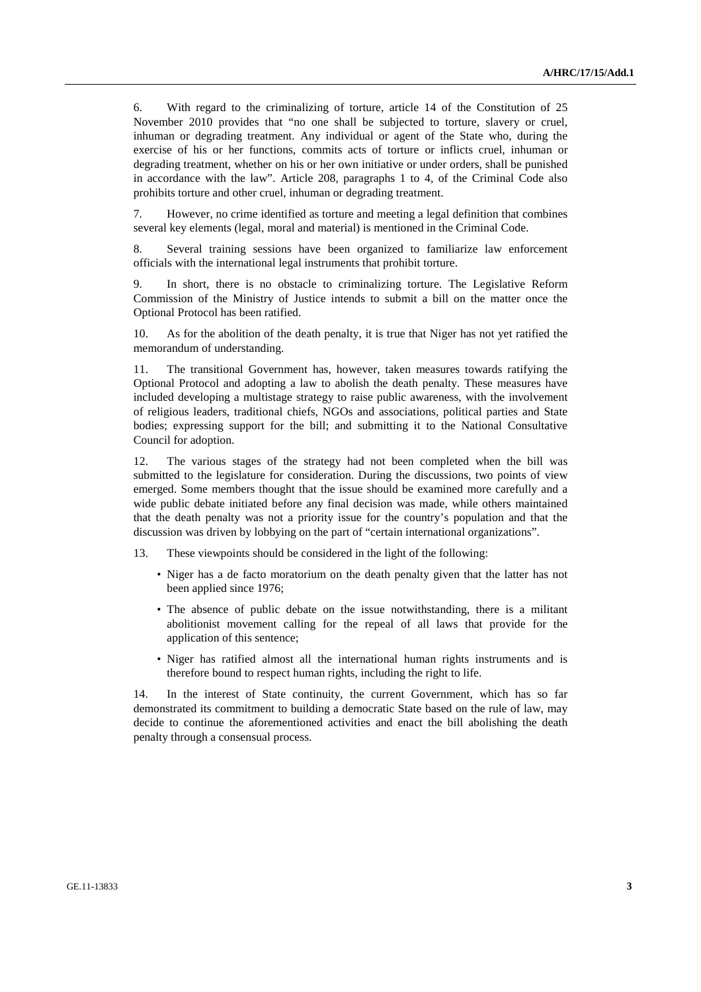6. With regard to the criminalizing of torture, article 14 of the Constitution of 25 November 2010 provides that "no one shall be subjected to torture, slavery or cruel, inhuman or degrading treatment. Any individual or agent of the State who, during the exercise of his or her functions, commits acts of torture or inflicts cruel, inhuman or degrading treatment, whether on his or her own initiative or under orders, shall be punished in accordance with the law". Article 208, paragraphs 1 to 4, of the Criminal Code also prohibits torture and other cruel, inhuman or degrading treatment.

7. However, no crime identified as torture and meeting a legal definition that combines several key elements (legal, moral and material) is mentioned in the Criminal Code.

8. Several training sessions have been organized to familiarize law enforcement officials with the international legal instruments that prohibit torture.

9. In short, there is no obstacle to criminalizing torture. The Legislative Reform Commission of the Ministry of Justice intends to submit a bill on the matter once the Optional Protocol has been ratified.

10. As for the abolition of the death penalty, it is true that Niger has not yet ratified the memorandum of understanding.

11. The transitional Government has, however, taken measures towards ratifying the Optional Protocol and adopting a law to abolish the death penalty. These measures have included developing a multistage strategy to raise public awareness, with the involvement of religious leaders, traditional chiefs, NGOs and associations, political parties and State bodies; expressing support for the bill; and submitting it to the National Consultative Council for adoption.

12. The various stages of the strategy had not been completed when the bill was submitted to the legislature for consideration. During the discussions, two points of view emerged. Some members thought that the issue should be examined more carefully and a wide public debate initiated before any final decision was made, while others maintained that the death penalty was not a priority issue for the country's population and that the discussion was driven by lobbying on the part of "certain international organizations".

13. These viewpoints should be considered in the light of the following:

- Niger has a de facto moratorium on the death penalty given that the latter has not been applied since 1976;
- The absence of public debate on the issue notwithstanding, there is a militant abolitionist movement calling for the repeal of all laws that provide for the application of this sentence;
- Niger has ratified almost all the international human rights instruments and is therefore bound to respect human rights, including the right to life.

14. In the interest of State continuity, the current Government, which has so far demonstrated its commitment to building a democratic State based on the rule of law, may decide to continue the aforementioned activities and enact the bill abolishing the death penalty through a consensual process.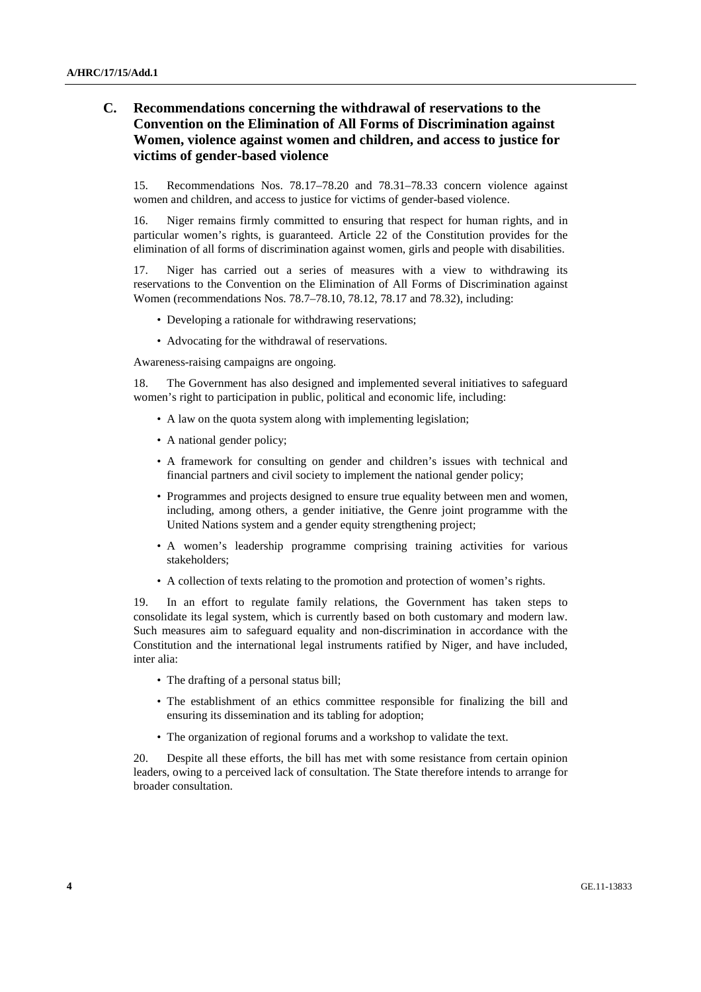## **C. Recommendations concerning the withdrawal of reservations to the Convention on the Elimination of All Forms of Discrimination against Women, violence against women and children, and access to justice for victims of gender-based violence**

15. Recommendations Nos. 78.17–78.20 and 78.31–78.33 concern violence against women and children, and access to justice for victims of gender-based violence.

16. Niger remains firmly committed to ensuring that respect for human rights, and in particular women's rights, is guaranteed. Article 22 of the Constitution provides for the elimination of all forms of discrimination against women, girls and people with disabilities.

17. Niger has carried out a series of measures with a view to withdrawing its reservations to the Convention on the Elimination of All Forms of Discrimination against Women (recommendations Nos. 78.7–78.10, 78.12, 78.17 and 78.32), including:

- Developing a rationale for withdrawing reservations;
- Advocating for the withdrawal of reservations.

Awareness-raising campaigns are ongoing.

18. The Government has also designed and implemented several initiatives to safeguard women's right to participation in public, political and economic life, including:

- A law on the quota system along with implementing legislation;
- A national gender policy:
- A framework for consulting on gender and children's issues with technical and financial partners and civil society to implement the national gender policy;
- Programmes and projects designed to ensure true equality between men and women, including, among others, a gender initiative, the Genre joint programme with the United Nations system and a gender equity strengthening project;
- A women's leadership programme comprising training activities for various stakeholders;
- A collection of texts relating to the promotion and protection of women's rights.

19. In an effort to regulate family relations, the Government has taken steps to consolidate its legal system, which is currently based on both customary and modern law. Such measures aim to safeguard equality and non-discrimination in accordance with the Constitution and the international legal instruments ratified by Niger, and have included, inter alia:

- The drafting of a personal status bill;
- The establishment of an ethics committee responsible for finalizing the bill and ensuring its dissemination and its tabling for adoption;
- The organization of regional forums and a workshop to validate the text.

20. Despite all these efforts, the bill has met with some resistance from certain opinion leaders, owing to a perceived lack of consultation. The State therefore intends to arrange for broader consultation.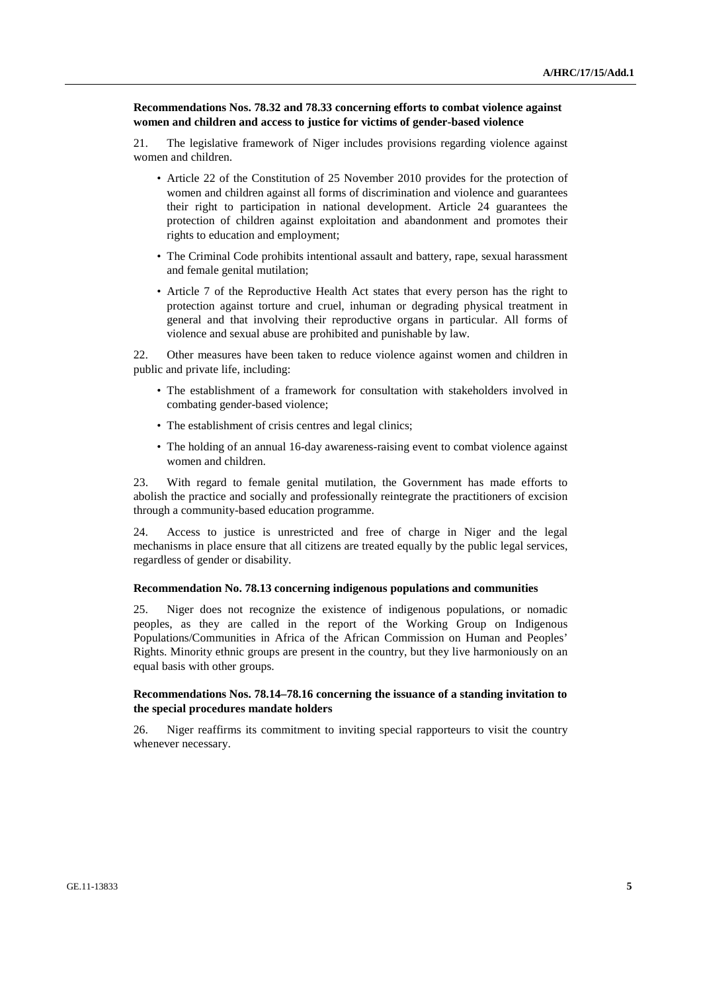#### **Recommendations Nos. 78.32 and 78.33 concerning efforts to combat violence against women and children and access to justice for victims of gender-based violence**

21. The legislative framework of Niger includes provisions regarding violence against women and children.

- Article 22 of the Constitution of 25 November 2010 provides for the protection of women and children against all forms of discrimination and violence and guarantees their right to participation in national development. Article 24 guarantees the protection of children against exploitation and abandonment and promotes their rights to education and employment;
- The Criminal Code prohibits intentional assault and battery, rape, sexual harassment and female genital mutilation;
- Article 7 of the Reproductive Health Act states that every person has the right to protection against torture and cruel, inhuman or degrading physical treatment in general and that involving their reproductive organs in particular. All forms of violence and sexual abuse are prohibited and punishable by law.

22. Other measures have been taken to reduce violence against women and children in public and private life, including:

- The establishment of a framework for consultation with stakeholders involved in combating gender-based violence;
- The establishment of crisis centres and legal clinics;
- The holding of an annual 16-day awareness-raising event to combat violence against women and children.

23. With regard to female genital mutilation, the Government has made efforts to abolish the practice and socially and professionally reintegrate the practitioners of excision through a community-based education programme.

24. Access to justice is unrestricted and free of charge in Niger and the legal mechanisms in place ensure that all citizens are treated equally by the public legal services, regardless of gender or disability.

#### **Recommendation No. 78.13 concerning indigenous populations and communities**

25. Niger does not recognize the existence of indigenous populations, or nomadic peoples, as they are called in the report of the Working Group on Indigenous Populations/Communities in Africa of the African Commission on Human and Peoples' Rights. Minority ethnic groups are present in the country, but they live harmoniously on an equal basis with other groups.

#### **Recommendations Nos. 78.14–78.16 concerning the issuance of a standing invitation to the special procedures mandate holders**

26. Niger reaffirms its commitment to inviting special rapporteurs to visit the country whenever necessary.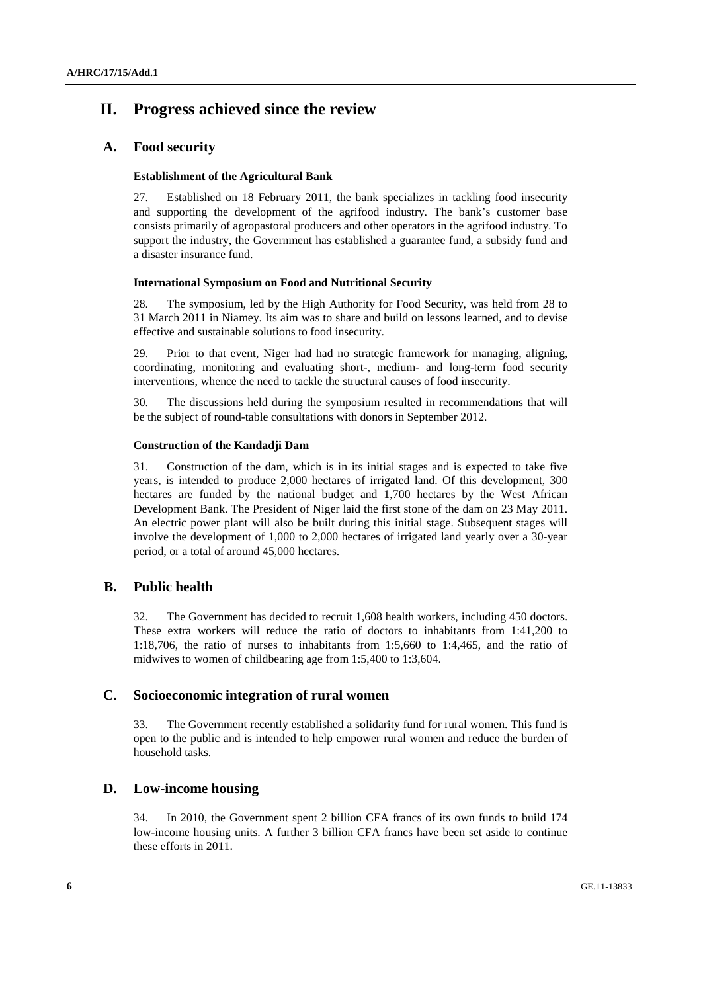# **II. Progress achieved since the review**

## **A. Food security**

### **Establishment of the Agricultural Bank**

27. Established on 18 February 2011, the bank specializes in tackling food insecurity and supporting the development of the agrifood industry. The bank's customer base consists primarily of agropastoral producers and other operators in the agrifood industry. To support the industry, the Government has established a guarantee fund, a subsidy fund and a disaster insurance fund.

### **International Symposium on Food and Nutritional Security**

28. The symposium, led by the High Authority for Food Security, was held from 28 to 31 March 2011 in Niamey. Its aim was to share and build on lessons learned, and to devise effective and sustainable solutions to food insecurity.

29. Prior to that event, Niger had had no strategic framework for managing, aligning, coordinating, monitoring and evaluating short-, medium- and long-term food security interventions, whence the need to tackle the structural causes of food insecurity.

30. The discussions held during the symposium resulted in recommendations that will be the subject of round-table consultations with donors in September 2012.

### **Construction of the Kandadji Dam**

31. Construction of the dam, which is in its initial stages and is expected to take five years, is intended to produce 2,000 hectares of irrigated land. Of this development, 300 hectares are funded by the national budget and 1,700 hectares by the West African Development Bank. The President of Niger laid the first stone of the dam on 23 May 2011. An electric power plant will also be built during this initial stage. Subsequent stages will involve the development of 1,000 to 2,000 hectares of irrigated land yearly over a 30-year period, or a total of around 45,000 hectares.

## **B. Public health**

32. The Government has decided to recruit 1,608 health workers, including 450 doctors. These extra workers will reduce the ratio of doctors to inhabitants from 1:41,200 to 1:18,706, the ratio of nurses to inhabitants from 1:5,660 to 1:4,465, and the ratio of midwives to women of childbearing age from 1:5,400 to 1:3,604.

## **C. Socioeconomic integration of rural women**

33. The Government recently established a solidarity fund for rural women. This fund is open to the public and is intended to help empower rural women and reduce the burden of household tasks.

## **D. Low-income housing**

34. In 2010, the Government spent 2 billion CFA francs of its own funds to build 174 low-income housing units. A further 3 billion CFA francs have been set aside to continue these efforts in 2011.